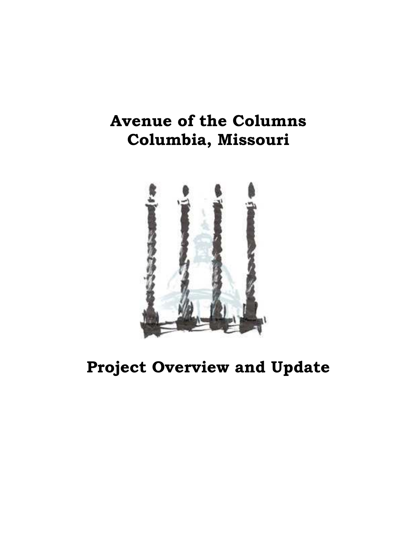## **Avenue of the Columns Columbia, Missouri**



**Project Overview and Update**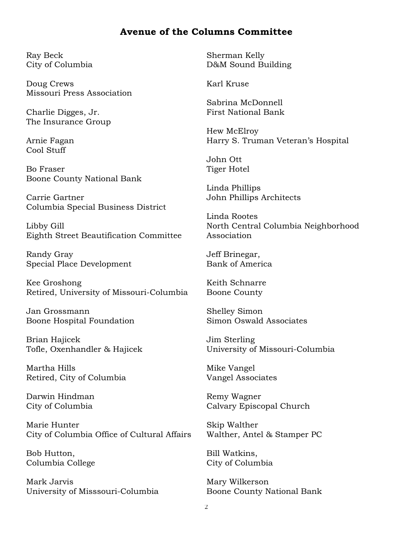### **Avenue of the Columns Committee**

Ray Beck City of Columbia

Doug Crews Missouri Press Association

Charlie Digges, Jr. The Insurance Group

Arnie Fagan Cool Stuff

Bo Fraser Boone County National Bank

Carrie Gartner Columbia Special Business District

Libby Gill Eighth Street Beautification Committee

Randy Gray Special Place Development

Kee Groshong Retired, University of Missouri-Columbia

Jan Grossmann Boone Hospital Foundation

Brian Hajicek Tofle, Oxenhandler & Hajicek

Martha Hills Retired, City of Columbia

Darwin Hindman City of Columbia

Marie Hunter City of Columbia Office of Cultural Affairs

Bob Hutton, Columbia College

Mark Jarvis University of Misssouri-Columbia Sherman Kelly D&M Sound Building

Karl Kruse

Sabrina McDonnell First National Bank

Hew McElroy Harry S. Truman Veteran's Hospital

John Ott Tiger Hotel

Linda Phillips John Phillips Architects

Linda Rootes North Central Columbia Neighborhood Association

Jeff Brinegar, Bank of America

Keith Schnarre Boone County

Shelley Simon Simon Oswald Associates

Jim Sterling University of Missouri-Columbia

Mike Vangel Vangel Associates

Remy Wagner Calvary Episcopal Church

Skip Walther Walther, Antel & Stamper PC

Bill Watkins, City of Columbia

Mary Wilkerson Boone County National Bank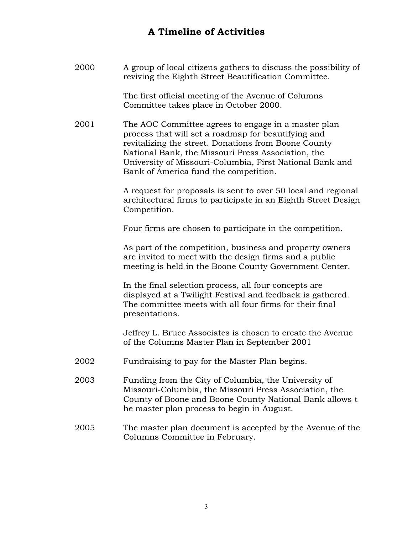## **A Timeline of Activities**

| 2000 | A group of local citizens gathers to discuss the possibility of<br>reviving the Eighth Street Beautification Committee.                                                                                                                                                                                                       |
|------|-------------------------------------------------------------------------------------------------------------------------------------------------------------------------------------------------------------------------------------------------------------------------------------------------------------------------------|
|      | The first official meeting of the Avenue of Columns<br>Committee takes place in October 2000.                                                                                                                                                                                                                                 |
| 2001 | The AOC Committee agrees to engage in a master plan<br>process that will set a roadmap for beautifying and<br>revitalizing the street. Donations from Boone County<br>National Bank, the Missouri Press Association, the<br>University of Missouri-Columbia, First National Bank and<br>Bank of America fund the competition. |
|      | A request for proposals is sent to over 50 local and regional<br>architectural firms to participate in an Eighth Street Design<br>Competition.                                                                                                                                                                                |
|      | Four firms are chosen to participate in the competition.                                                                                                                                                                                                                                                                      |
|      | As part of the competition, business and property owners<br>are invited to meet with the design firms and a public<br>meeting is held in the Boone County Government Center.                                                                                                                                                  |
|      | In the final selection process, all four concepts are<br>displayed at a Twilight Festival and feedback is gathered.<br>The committee meets with all four firms for their final<br>presentations.                                                                                                                              |
|      | Jeffrey L. Bruce Associates is chosen to create the Avenue<br>of the Columns Master Plan in September 2001                                                                                                                                                                                                                    |
| 2002 | Fundraising to pay for the Master Plan begins.                                                                                                                                                                                                                                                                                |
| 2003 | Funding from the City of Columbia, the University of<br>Missouri-Columbia, the Missouri Press Association, the<br>County of Boone and Boone County National Bank allows t<br>he master plan process to begin in August.                                                                                                       |
| 2005 | The master plan document is accepted by the Avenue of the<br>Columns Committee in February.                                                                                                                                                                                                                                   |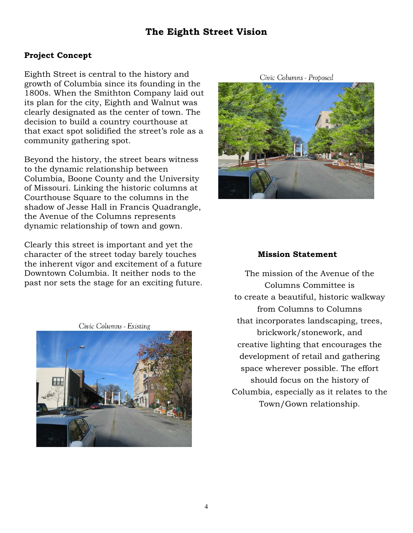## **The Eighth Street Vision**

#### **Project Concept**

Eighth Street is central to the history and growth of Columbia since its founding in the 1800s. When the Smithton Company laid out its plan for the city, Eighth and Walnut was clearly designated as the center of town. The decision to build a country courthouse at that exact spot solidified the street's role as a community gathering spot.

Beyond the history, the street bears witness to the dynamic relationship between Columbia, Boone County and the University of Missouri. Linking the historic columns at Courthouse Square to the columns in the shadow of Jesse Hall in Francis Quadrangle, the Avenue of the Columns represents dynamic relationship of town and gown.

Clearly this street is important and yet the character of the street today barely touches the inherent vigor and excitement of a future Downtown Columbia. It neither nods to the past nor sets the stage for an exciting future.

Civic Columns - Existing



Civic Columns - Proposed



#### **Mission Statement**

The mission of the Avenue of the Columns Committee is to create a beautiful, historic walkway from Columns to Columns that incorporates landscaping, trees, brickwork/stonework, and creative lighting that encourages the development of retail and gathering space wherever possible. The effort should focus on the history of Columbia, especially as it relates to the Town/Gown relationship.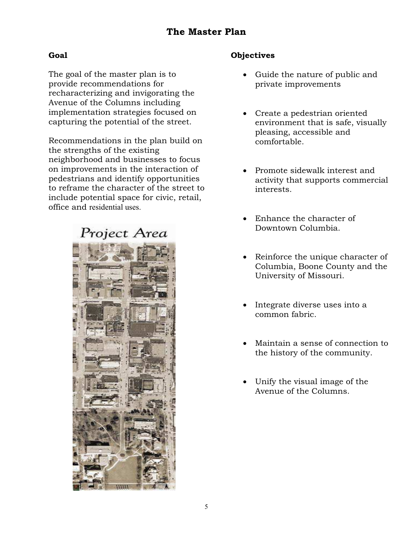## **The Master Plan**

#### **Goal**

The goal of the master plan is to provide recommendations for recharacterizing and invigorating the Avenue of the Columns including implementation strategies focused on capturing the potential of the street.

Recommendations in the plan build on the strengths of the existing neighborhood and businesses to focus on improvements in the interaction of pedestrians and identify opportunities to reframe the character of the street to include potential space for civic, retail, office and residential uses.



#### **Objectives**

- Guide the nature of public and private improvements
- Create a pedestrian oriented environment that is safe, visually pleasing, accessible and comfortable.
- Promote sidewalk interest and activity that supports commercial interests.
- Enhance the character of Downtown Columbia.
- Reinforce the unique character of Columbia, Boone County and the University of Missouri.
- Integrate diverse uses into a common fabric.
- x Maintain a sense of connection to the history of the community.
- Unify the visual image of the Avenue of the Columns.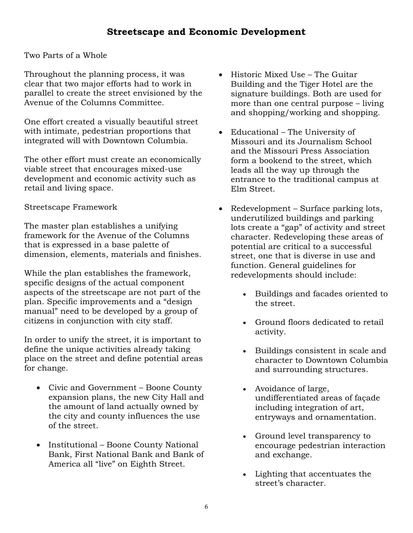Two Parts of a Whole

Throughout the planning process, it was clear that two major efforts had to work in parallel to create the street envisioned by the Avenue of the Columns Committee.

One effort created a visually beautiful street with intimate, pedestrian proportions that integrated will with Downtown Columbia.

The other effort must create an economically viable street that encourages mixed-use development and economic activity such as retail and living space.

#### Streetscape Framework

The master plan establishes a unifying framework for the Avenue of the Columns that is expressed in a base palette of dimension, elements, materials and finishes.

While the plan establishes the framework, specific designs of the actual component aspects of the streetscape are not part of the plan. Specific improvements and a "design manual" need to be developed by a group of citizens in conjunction with city staff.

In order to unify the street, it is important to define the unique activities already taking place on the street and define potential areas for change.

- Civic and Government Boone County expansion plans, the new City Hall and the amount of land actually owned by the city and county influences the use of the street.
- Institutional Boone County National Bank, First National Bank and Bank of America all "live" on Eighth Street.
- $\bullet$  Historic Mixed Use The Guitar Building and the Tiger Hotel are the signature buildings. Both are used for more than one central purpose – living and shopping/working and shopping.
- $\bullet$  Educational The University of Missouri and its Journalism School and the Missouri Press Association form a bookend to the street, which leads all the way up through the entrance to the traditional campus at Elm Street.
- $\bullet$  Redevelopment Surface parking lots, underutilized buildings and parking lots create a "gap" of activity and street character. Redeveloping these areas of potential are critical to a successful street, one that is diverse in use and function. General guidelines for redevelopments should include:
	- Buildings and facades oriented to the street.
	- Ground floors dedicated to retail activity.
	- Buildings consistent in scale and character to Downtown Columbia and surrounding structures.
	- Avoidance of large, undifferentiated areas of façade including integration of art, entryways and ornamentation.
	- Ground level transparency to encourage pedestrian interaction and exchange.
	- Lighting that accentuates the street's character.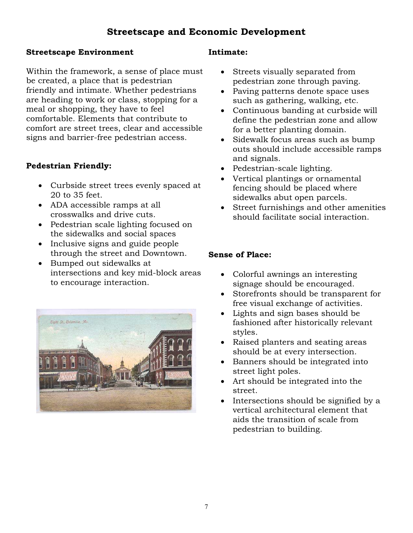#### **Streetscape Environment**

Within the framework, a sense of place must be created, a place that is pedestrian friendly and intimate. Whether pedestrians are heading to work or class, stopping for a meal or shopping, they have to feel comfortable. Elements that contribute to comfort are street trees, clear and accessible signs and barrier-free pedestrian access.

### **Pedestrian Friendly:**

- Curbside street trees evenly spaced at 20 to 35 feet.
- ADA accessible ramps at all crosswalks and drive cuts.
- Pedestrian scale lighting focused on the sidewalks and social spaces
- Inclusive signs and guide people through the street and Downtown.
- Bumped out sidewalks at intersections and key mid-block areas to encourage interaction.



#### **Intimate:**

- Streets visually separated from pedestrian zone through paving.
- Paving patterns denote space uses such as gathering, walking, etc.
- Continuous banding at curbside will define the pedestrian zone and allow for a better planting domain.
- Sidewalk focus areas such as bump outs should include accessible ramps and signals.
- Pedestrian-scale lighting.
- Vertical plantings or ornamental fencing should be placed where sidewalks abut open parcels.
- Street furnishings and other amenities should facilitate social interaction.

#### **Sense of Place:**

- Colorful awnings an interesting signage should be encouraged.
- Storefronts should be transparent for free visual exchange of activities.
- Lights and sign bases should be fashioned after historically relevant styles.
- Raised planters and seating areas should be at every intersection.
- Banners should be integrated into street light poles.
- Art should be integrated into the street.
- Intersections should be signified by a vertical architectural element that aids the transition of scale from pedestrian to building.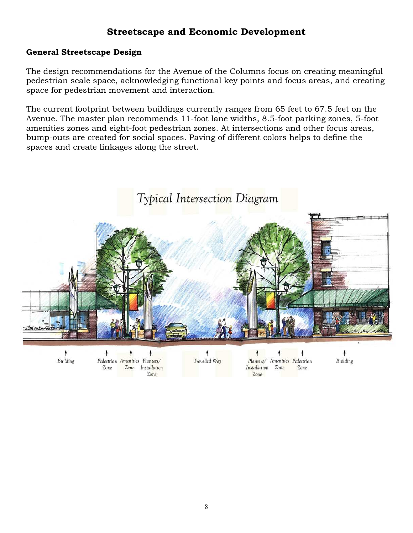#### **General Streetscape Design**

The design recommendations for the Avenue of the Columns focus on creating meaningful pedestrian scale space, acknowledging functional key points and focus areas, and creating space for pedestrian movement and interaction.

The current footprint between buildings currently ranges from 65 feet to 67.5 feet on the Avenue. The master plan recommends 11-foot lane widths, 8.5-foot parking zones, 5-foot amenities zones and eight-foot pedestrian zones. At intersections and other focus areas, bump-outs are created for social spaces. Paving of different colors helps to define the spaces and create linkages along the street.



Building

Pedestrian Amenities Planters/ Zone Zone Installation  $Zone$ 

Travelled Way

Planters/ Amenities Pedestrian Installation Zone Zone  $Zone$ 

Building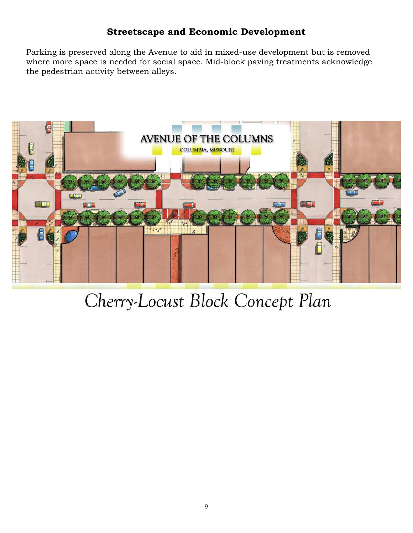Parking is preserved along the Avenue to aid in mixed-use development but is removed where more space is needed for social space. Mid-block paving treatments acknowledge the pedestrian activity between alleys.



# Cherry-Locust Block Concept Plan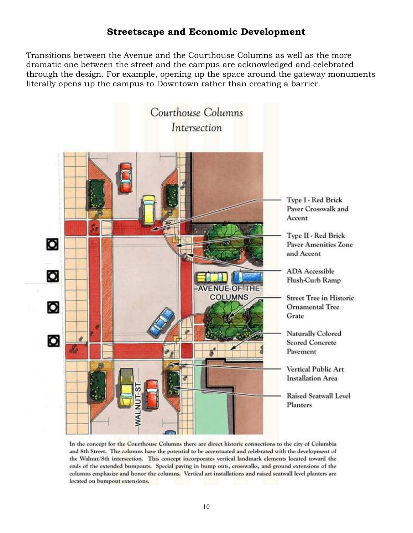Transitions between the Avenue and the Courthouse Columns as well as the more dramatic one between the street and the campus are acknowledged and celebrated through the design. For example, opening up the space around the gateway monuments literally opens up the campus to Downtown rather than creating a barrier.



In the concept for the Courthouse Columns there are direct historic connections to the city of Columbia and 8th Street. The columns have the potential to be accentuated and celebrated with the development of the Walnut/8th intersection. This concept incorporates vertical landmark elements located toward the ends of the extended bumpouts. Special paving in bump outs, crosswalks, and ground extensions of the columns emphasize and honor the columns. Vertical art installations and raised seatwall level planters are located on bumpout extensions.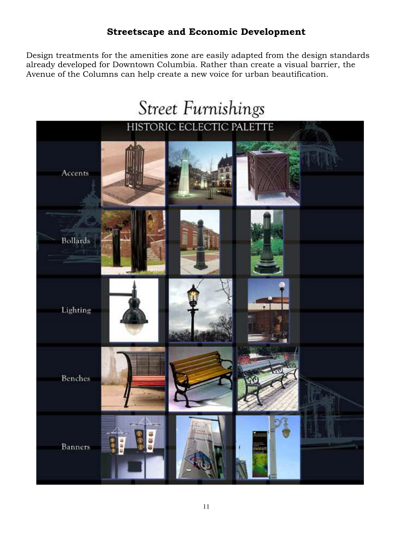Design treatments for the amenities zone are easily adapted from the design standards already developed for Downtown Columbia. Rather than create a visual barrier, the Avenue of the Columns can help create a new voice for urban beautification.

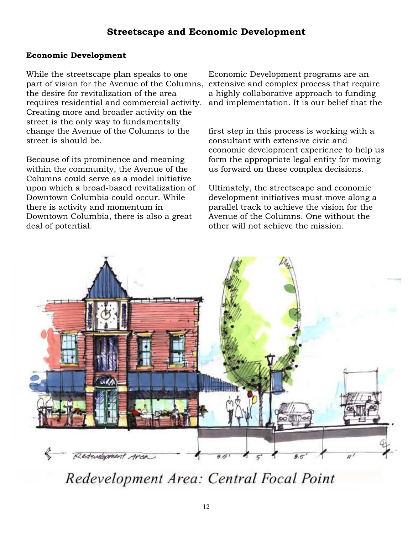#### **Economic Development**

While the streetscape plan speaks to one part of vision for the Avenue of the Columns, the desire for revitalization of the area requires residential and commercial activity. Creating more and broader activity on the street is the only way to fundamentally change the Avenue of the Columns to the street is should be.

Because of its prominence and meaning within the community, the Avenue of the Columns could serve as a model initiative upon which a broad-based revitalization of Downtown Columbia could occur. While there is activity and momentum in Downtown Columbia, there is also a great deal of potential.

Economic Development programs are an extensive and complex process that require a highly collaborative approach to funding and implementation. It is our belief that the

first step in this process is working with a consultant with extensive civic and economic development experience to help us form the appropriate legal entity for moving us forward on these complex decisions.

Ultimately, the streetscape and economic development initiatives must move along a parallel track to achieve the vision for the Avenue of the Columns. One without the other will not achieve the mission.



Redevelopment Area: Central Focal Point